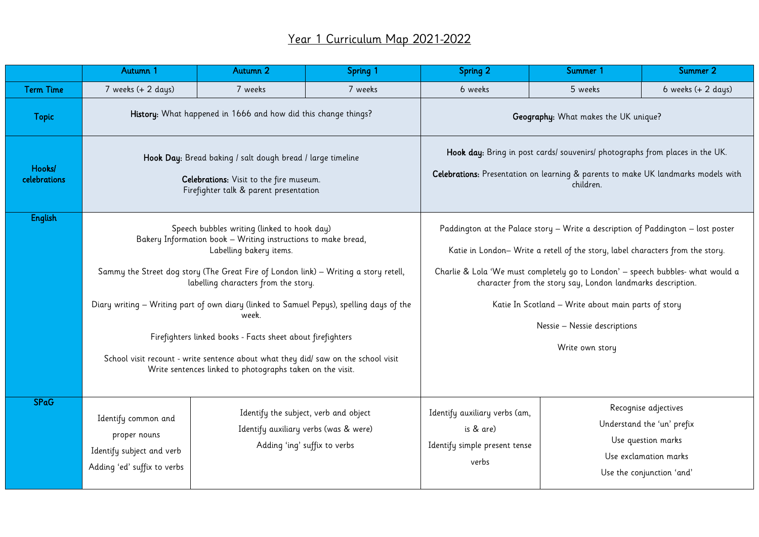## Year 1 Curriculum Map 2021-2022

|                        | Autumn 1                                                                                                                                                                                                                                                                                                                                                                                                                                                                                                                                                                                      | Autumn 2 | Spring 1                                                                                                       | <b>Spring 2</b>                                                                                                                                                                                                                                                                                                                                                                                                               | Summer 1 | Summer 2                                                                                                                       |  |  |
|------------------------|-----------------------------------------------------------------------------------------------------------------------------------------------------------------------------------------------------------------------------------------------------------------------------------------------------------------------------------------------------------------------------------------------------------------------------------------------------------------------------------------------------------------------------------------------------------------------------------------------|----------|----------------------------------------------------------------------------------------------------------------|-------------------------------------------------------------------------------------------------------------------------------------------------------------------------------------------------------------------------------------------------------------------------------------------------------------------------------------------------------------------------------------------------------------------------------|----------|--------------------------------------------------------------------------------------------------------------------------------|--|--|
| <b>Term Time</b>       | 7 weeks (+ 2 days)                                                                                                                                                                                                                                                                                                                                                                                                                                                                                                                                                                            | 7 weeks  | 7 weeks                                                                                                        | 6 weeks                                                                                                                                                                                                                                                                                                                                                                                                                       | 5 weeks  |                                                                                                                                |  |  |
| <b>Topic</b>           | History: What happened in 1666 and how did this change things?                                                                                                                                                                                                                                                                                                                                                                                                                                                                                                                                |          |                                                                                                                | Geography: What makes the UK unique?                                                                                                                                                                                                                                                                                                                                                                                          |          |                                                                                                                                |  |  |
| Hooks/<br>celebrations | Hook Day: Bread baking / salt dough bread / large timeline<br>Celebrations: Visit to the fire museum.<br>Firefighter talk & parent presentation                                                                                                                                                                                                                                                                                                                                                                                                                                               |          |                                                                                                                | Hook day: Bring in post cards/ souvenirs/ photographs from places in the UK.<br>Celebrations: Presentation on learning & parents to make UK landmarks models with<br>children.                                                                                                                                                                                                                                                |          |                                                                                                                                |  |  |
| <b>English</b>         | Speech bubbles writing (linked to hook day)<br>Bakery Information book - Writing instructions to make bread,<br>Labelling bakery items.<br>Sammy the Street dog story (The Great Fire of London link) - Writing a story retell,<br>labelling characters from the story.<br>Diary writing - Writing part of own diary (linked to Samuel Pepys), spelling days of the<br>week.<br>Firefighters linked books - Facts sheet about firefighters<br>School visit recount - write sentence about what they did/ saw on the school visit<br>Write sentences linked to photographs taken on the visit. |          |                                                                                                                | Paddington at the Palace story - Write a description of Paddington - lost poster<br>Katie in London-Write a retell of the story, label characters from the story.<br>Charlie & Lola 'We must completely go to London' - speech bubbles- what would a<br>character from the story say, London landmarks description.<br>Katie In Scotland - Write about main parts of story<br>Nessie - Nessie descriptions<br>Write own story |          |                                                                                                                                |  |  |
| <b>SPaG</b>            | Identify common and<br>proper nouns<br>Identify subject and verb<br>Adding 'ed' suffix to verbs                                                                                                                                                                                                                                                                                                                                                                                                                                                                                               |          | Identify the subject, verb and object<br>Identify auxiliary verbs (was & were)<br>Adding 'ing' suffix to verbs | Identify auxiliary verbs (am,<br>is & are)<br>Identify simple present tense<br>verbs                                                                                                                                                                                                                                                                                                                                          |          | Recognise adjectives<br>Understand the 'un' prefix<br>Use question marks<br>Use exclamation marks<br>Use the conjunction 'and' |  |  |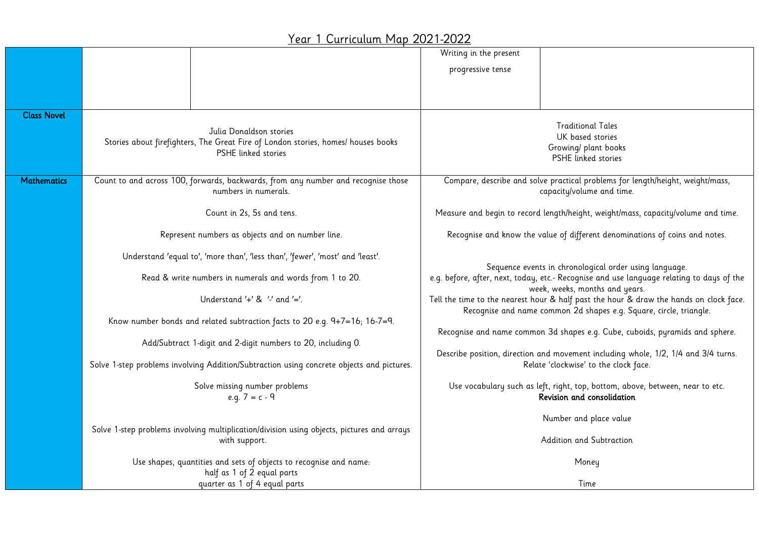## Year 1 Curriculum Map 2021-2022

|                    |                                                                                                           | Writing in the present                                                                                                                                                                |  |  |  |  |  |
|--------------------|-----------------------------------------------------------------------------------------------------------|---------------------------------------------------------------------------------------------------------------------------------------------------------------------------------------|--|--|--|--|--|
|                    |                                                                                                           | progressive tense                                                                                                                                                                     |  |  |  |  |  |
|                    |                                                                                                           |                                                                                                                                                                                       |  |  |  |  |  |
|                    |                                                                                                           |                                                                                                                                                                                       |  |  |  |  |  |
| <b>Class Novel</b> |                                                                                                           |                                                                                                                                                                                       |  |  |  |  |  |
|                    | Julia Donaldson stories                                                                                   | <b>Traditional Tales</b>                                                                                                                                                              |  |  |  |  |  |
|                    | Stories about firefighters, The Great Fire of London stories, homes/ houses books                         | UK based stories<br>Growing/ plant books<br>PSHE linked stories                                                                                                                       |  |  |  |  |  |
|                    | <b>PSHF</b> linked stories                                                                                |                                                                                                                                                                                       |  |  |  |  |  |
|                    |                                                                                                           |                                                                                                                                                                                       |  |  |  |  |  |
| <b>Mathematics</b> | Count to and across 100, forwards, backwards, from any number and recognise those<br>numbers in numerals. | Compare, describe and solve practical problems for length/height, weight/mass,<br>capacity/volume and time.                                                                           |  |  |  |  |  |
|                    |                                                                                                           |                                                                                                                                                                                       |  |  |  |  |  |
|                    | Count in 2s, 5s and tens.                                                                                 | Measure and begin to record length/height, weight/mass, capacity/volume and time.                                                                                                     |  |  |  |  |  |
|                    | Represent numbers as objects and on number line.                                                          | Recognise and know the value of different denominations of coins and notes.                                                                                                           |  |  |  |  |  |
|                    | Understand 'equal to', 'more than', 'less than', 'fewer', 'most' and 'least'.                             |                                                                                                                                                                                       |  |  |  |  |  |
|                    | Read & write numbers in numerals and words from 1 to 20.                                                  | Sequence events in chronological order using language.<br>e.g. before, after, next, today, etc.- Recognise and use language relating to days of the<br>week, weeks, months and years. |  |  |  |  |  |
|                    | Understand $'+'$ & $'-'$ and $'='$ .                                                                      | Tell the time to the nearest hour & half past the hour & draw the hands on clock face.<br>Recognise and name common 2d shapes e.g. Square, circle, triangle.                          |  |  |  |  |  |
|                    | Know number bonds and related subtraction facts to 20 e.g. 9+7=16; 16-7=9.                                |                                                                                                                                                                                       |  |  |  |  |  |
|                    |                                                                                                           | Recognise and name common 3d shapes e.g. Cube, cuboids, pyramids and sphere.                                                                                                          |  |  |  |  |  |
|                    | Add/Subtract 1-digit and 2-digit numbers to 20, including 0.                                              | Describe position, direction and movement including whole, 1/2, 1/4 and 3/4 turns.                                                                                                    |  |  |  |  |  |
|                    | Solve 1-step problems involving Addition/Subtraction using concrete objects and pictures.                 | Relate 'clockwise' to the clock face.                                                                                                                                                 |  |  |  |  |  |
|                    | Solve missing number problems                                                                             | Use vocabulary such as left, right, top, bottom, above, between, near to etc.<br>Revision and consolidation                                                                           |  |  |  |  |  |
|                    | e.g. $7 = c - 9$                                                                                          |                                                                                                                                                                                       |  |  |  |  |  |
|                    |                                                                                                           | Number and place value                                                                                                                                                                |  |  |  |  |  |
|                    | Solve 1-step problems involving multiplication/division using objects, pictures and arrays                |                                                                                                                                                                                       |  |  |  |  |  |
|                    | with support.                                                                                             | Addition and Subtraction                                                                                                                                                              |  |  |  |  |  |
|                    | Use shapes, quantities and sets of objects to recognise and name:                                         | Money                                                                                                                                                                                 |  |  |  |  |  |
|                    | half as 1 of 2 equal parts                                                                                |                                                                                                                                                                                       |  |  |  |  |  |
|                    | quarter as 1 of 4 equal parts                                                                             | Time                                                                                                                                                                                  |  |  |  |  |  |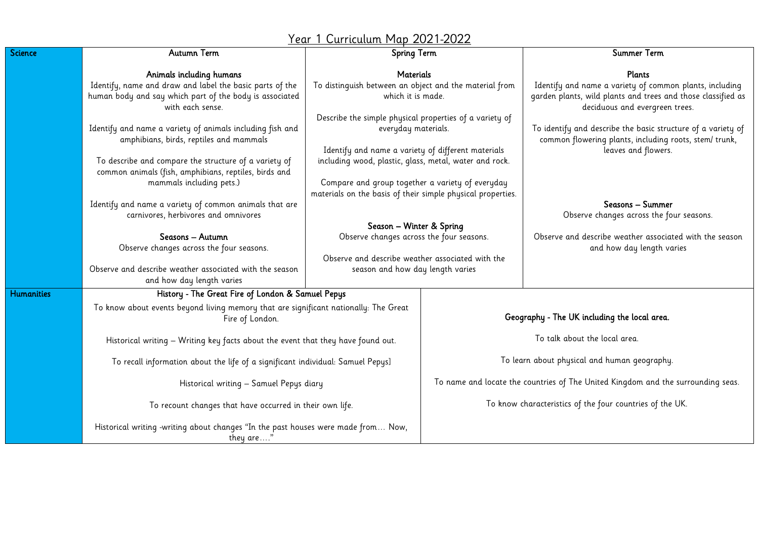|            |                                                                                                                                            | <u> Year 1 Curriculum Map 2021-2022</u>                                                                                                                                                                                                                                                           |                                                                                  |                                                                                                                                                                     |  |  |  |  |
|------------|--------------------------------------------------------------------------------------------------------------------------------------------|---------------------------------------------------------------------------------------------------------------------------------------------------------------------------------------------------------------------------------------------------------------------------------------------------|----------------------------------------------------------------------------------|---------------------------------------------------------------------------------------------------------------------------------------------------------------------|--|--|--|--|
| Science    | Autumn Term                                                                                                                                | Spring Term                                                                                                                                                                                                                                                                                       |                                                                                  | Summer Term                                                                                                                                                         |  |  |  |  |
|            | Animals including humans                                                                                                                   | <b>Materials</b><br>To distinguish between an object and the material from<br>which it is made.<br>Describe the simple physical properties of a variety of<br>everyday materials.<br>Identify and name a variety of different materials<br>including wood, plastic, glass, metal, water and rock. |                                                                                  | Plants<br>Identify and name a variety of common plants, including<br>garden plants, wild plants and trees and those classified as<br>deciduous and evergreen trees. |  |  |  |  |
|            | Identify, name and draw and label the basic parts of the<br>human body and say which part of the body is associated<br>with each sense.    |                                                                                                                                                                                                                                                                                                   |                                                                                  |                                                                                                                                                                     |  |  |  |  |
|            | Identify and name a variety of animals including fish and<br>amphibians, birds, reptiles and mammals                                       |                                                                                                                                                                                                                                                                                                   |                                                                                  | To identify and describe the basic structure of a variety of<br>common flowering plants, including roots, stem/ trunk,<br>leaves and flowers.                       |  |  |  |  |
|            | To describe and compare the structure of a variety of<br>common animals (fish, amphibians, reptiles, birds and<br>mammals including pets.) |                                                                                                                                                                                                                                                                                                   |                                                                                  |                                                                                                                                                                     |  |  |  |  |
|            |                                                                                                                                            | Compare and group together a variety of everyday<br>materials on the basis of their simple physical properties.                                                                                                                                                                                   |                                                                                  |                                                                                                                                                                     |  |  |  |  |
|            | Identify and name a variety of common animals that are<br>carnivores, herbivores and omnivores                                             |                                                                                                                                                                                                                                                                                                   |                                                                                  | Seasons - Summer<br>Observe changes across the four seasons.                                                                                                        |  |  |  |  |
|            | Seasons - Autumn<br>Observe changes across the four seasons.                                                                               | Season - Winter & Spring<br>Observe changes across the four seasons.<br>Observe and describe weather associated with the                                                                                                                                                                          |                                                                                  | Observe and describe weather associated with the season<br>and how day length varies                                                                                |  |  |  |  |
|            | Observe and describe weather associated with the season<br>and how day length varies                                                       | season and how day length varies                                                                                                                                                                                                                                                                  |                                                                                  |                                                                                                                                                                     |  |  |  |  |
| Humanities | History - The Great Fire of London & Samuel Pepys                                                                                          |                                                                                                                                                                                                                                                                                                   |                                                                                  |                                                                                                                                                                     |  |  |  |  |
|            | To know about events beyond living memory that are significant nationally: The Great<br>Fire of London.                                    |                                                                                                                                                                                                                                                                                                   | Geography - The UK including the local area.                                     |                                                                                                                                                                     |  |  |  |  |
|            | Historical writing - Writing key facts about the event that they have found out.                                                           |                                                                                                                                                                                                                                                                                                   | To talk about the local area.                                                    |                                                                                                                                                                     |  |  |  |  |
|            | To recall information about the life of a significant individual: Samuel Pepys]                                                            |                                                                                                                                                                                                                                                                                                   | To learn about physical and human geography.                                     |                                                                                                                                                                     |  |  |  |  |
|            | Historical writing - Samuel Pepys diary                                                                                                    |                                                                                                                                                                                                                                                                                                   | To name and locate the countries of The United Kingdom and the surrounding seas. |                                                                                                                                                                     |  |  |  |  |
|            | To recount changes that have occurred in their own life.                                                                                   |                                                                                                                                                                                                                                                                                                   | To know characteristics of the four countries of the UK.                         |                                                                                                                                                                     |  |  |  |  |
|            | Historical writing -writing about changes "In the past houses were made from Now,<br>they are"                                             |                                                                                                                                                                                                                                                                                                   |                                                                                  |                                                                                                                                                                     |  |  |  |  |

 $\overline{\overline{\mathsf{Hur}}}$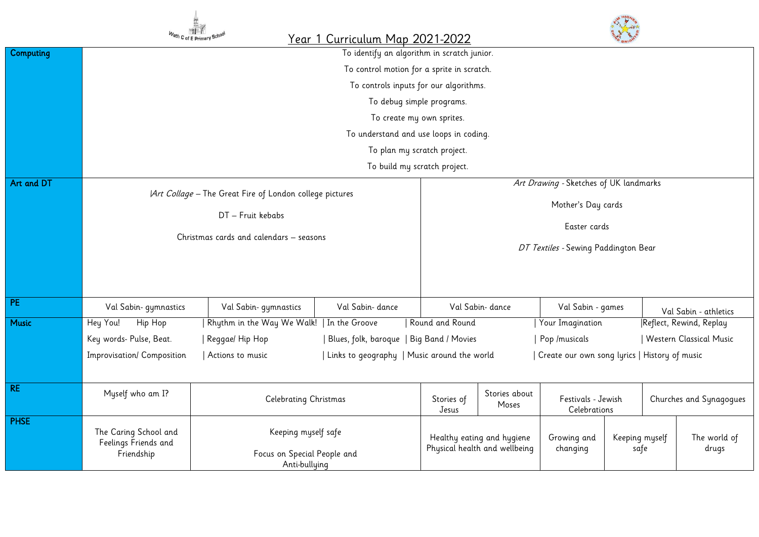|              | Wath C of E Primary                                                                                                     | <b>ME</b>                                    | Year 1 Curriculum Map 2021-2022             |                                                                                           |                                                             |                    |                                                   |  |                         |  |
|--------------|-------------------------------------------------------------------------------------------------------------------------|----------------------------------------------|---------------------------------------------|-------------------------------------------------------------------------------------------|-------------------------------------------------------------|--------------------|---------------------------------------------------|--|-------------------------|--|
| Computing    | To identify an algorithm in scratch junior.                                                                             |                                              |                                             |                                                                                           |                                                             |                    |                                                   |  |                         |  |
|              | To control motion for a sprite in scratch.                                                                              |                                              |                                             |                                                                                           |                                                             |                    |                                                   |  |                         |  |
|              |                                                                                                                         | To controls inputs for our algorithms.       |                                             |                                                                                           |                                                             |                    |                                                   |  |                         |  |
|              |                                                                                                                         | To debug simple programs.                    |                                             |                                                                                           |                                                             |                    |                                                   |  |                         |  |
|              |                                                                                                                         | To create my own sprites.                    |                                             |                                                                                           |                                                             |                    |                                                   |  |                         |  |
|              |                                                                                                                         |                                              |                                             | To understand and use loops in coding.                                                    |                                                             |                    |                                                   |  |                         |  |
|              |                                                                                                                         |                                              |                                             | To plan my scratch project.                                                               |                                                             |                    |                                                   |  |                         |  |
|              |                                                                                                                         |                                              |                                             | To build my scratch project.                                                              |                                                             |                    |                                                   |  |                         |  |
| Art and DT   | Art Collage - The Great Fire of London college pictures<br>DT - Fruit kebabs<br>Christmas cards and calendars - seasons |                                              |                                             |                                                                                           | Art Drawing - Sketches of UK landmarks                      |                    |                                                   |  |                         |  |
|              |                                                                                                                         |                                              |                                             |                                                                                           | Mother's Day cards<br>Easter cards                          |                    |                                                   |  |                         |  |
|              |                                                                                                                         |                                              |                                             |                                                                                           |                                                             |                    |                                                   |  |                         |  |
|              |                                                                                                                         |                                              |                                             |                                                                                           |                                                             |                    |                                                   |  |                         |  |
|              |                                                                                                                         |                                              |                                             |                                                                                           | DT Textiles - Sewing Paddington Bear                        |                    |                                                   |  |                         |  |
|              |                                                                                                                         |                                              |                                             |                                                                                           |                                                             |                    |                                                   |  |                         |  |
|              |                                                                                                                         |                                              |                                             |                                                                                           |                                                             |                    |                                                   |  |                         |  |
| PE           |                                                                                                                         |                                              | Val Sabin- dance                            |                                                                                           |                                                             |                    |                                                   |  |                         |  |
| <b>Music</b> | Val Sabin- gymnastics                                                                                                   | Val Sabin- gymnastics                        |                                             | Round and Round                                                                           | Val Sabin- dance                                            |                    | Val Sabin - games                                 |  | Val Sabin - athletics   |  |
|              | Hey You!<br>Hip Hop                                                                                                     | Rhythm in the Way We Walk!   In the Groove   | Blues, folk, baroque   Big Band / Movies    | Your Imagination<br>Reflect, Rewind, Replay                                               |                                                             |                    |                                                   |  |                         |  |
|              | Key words- Pulse, Beat.                                                                                                 | Reggae/ Hip Hop<br>Actions to music          |                                             | Western Classical Music<br>Pop /musicals<br>Create our own song lyrics   History of music |                                                             |                    |                                                   |  |                         |  |
|              | Improvisation/ Composition                                                                                              |                                              | Links to geography   Music around the world |                                                                                           |                                                             |                    |                                                   |  |                         |  |
| RE           |                                                                                                                         |                                              |                                             |                                                                                           |                                                             |                    |                                                   |  |                         |  |
|              | Myself who am I?                                                                                                        | <b>Celebrating Christmas</b>                 |                                             | Stories of                                                                                | Stories about<br>Moses                                      | Festivals - Jewish |                                                   |  | Churches and Synagogues |  |
|              |                                                                                                                         |                                              |                                             | Jesus                                                                                     |                                                             |                    | Celebrations                                      |  |                         |  |
| <b>PHSE</b>  | The Caring School and                                                                                                   | Keeping myself safe                          |                                             |                                                                                           |                                                             |                    |                                                   |  |                         |  |
|              | Feelings Friends and                                                                                                    |                                              |                                             |                                                                                           | Healthy eating and hygiene<br>Physical health and wellbeing |                    | Growing and<br>Keeping myself<br>changing<br>safe |  | The world of<br>drugs   |  |
|              | Friendship                                                                                                              | Focus on Special People and<br>Anti-bullying |                                             |                                                                                           |                                                             |                    |                                                   |  |                         |  |